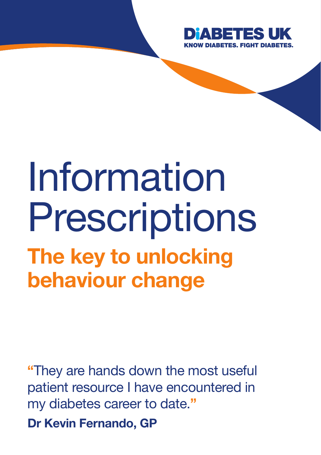

# Information Prescriptions The key to unlocking behaviour change

"They are hands down the most useful patient resource I have encountered in my diabetes career to date." Dr Kevin Fernando, GP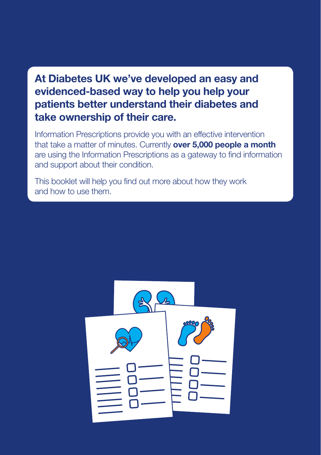#### At Diabetes UK we've developed an easy and evidenced-based way to help you help your patients better understand their diabetes and take ownership of their care.

Information Prescriptions provide you with an effective intervention that take a matter of minutes. Currently **over 5.000 people a month** are using the Information Prescriptions as a gateway to find information and support about their condition.

This booklet will help you find out more about how they work and how to use them.

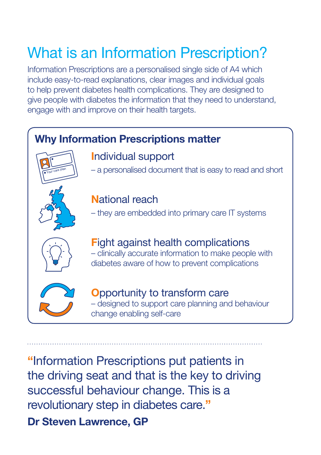# What is an Information Prescription?

Information Prescriptions are a personalised single side of A4 which include easy-to-read explanations, clear images and individual goals to help prevent diabetes health complications. They are designed to give people with diabetes the information that they need to understand, engage with and improve on their health targets.

### Why Information Prescriptions matter



#### Individual support

– a personalised document that is easy to read and short

#### National reach

– they are embedded into primary care IT systems

Fight against health complications – clinically accurate information to make people with diabetes aware of how to prevent complications

Opportunity to transform care – designed to support care planning and behaviour change enabling self-care

"Information Prescriptions put patients in the driving seat and that is the key to driving successful behaviour change. This is a revolutionary step in diabetes care." Dr Steven Lawrence, GP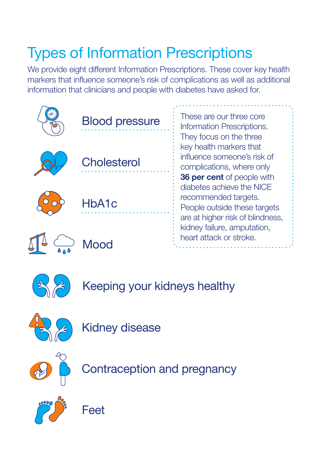# Types of Information Prescriptions

We provide eight different Information Prescriptions. These cover key health markers that influence someone's risk of complications as well as additional information that clinicians and people with diabetes have asked for.





Keeping your kidneys healthy



Kidney disease



Contraception and pregnancy



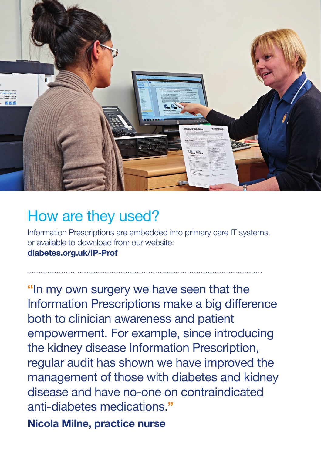

## How are they used?

Information Prescriptions are embedded into primary care IT systems, or available to download from our website: diabetes.org.uk/IP-Prof

"In my own surgery we have seen that the Information Prescriptions make a big difference both to clinician awareness and patient empowerment. For example, since introducing the kidney disease Information Prescription, regular audit has shown we have improved the management of those with diabetes and kidney disease and have no-one on contraindicated anti-diabetes medications."

Nicola Milne, practice nurse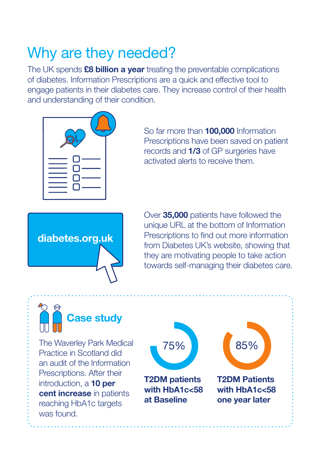# Why are they needed?

The UK spends **£8 billion a year** treating the preventable complications of diabetes. Information Prescriptions are a quick and effective tool to engage patients in their diabetes care. They increase control of their health and understanding of their condition.

| $\overline{Q}$<br>О<br>O |  |
|--------------------------|--|

So far more than **100,000** Information Prescriptions have been saved on patient records and **1/3** of GP surgeries have activated alerts to receive them.

diabetes.org.uk

Over 35,000 patients have followed the unique URL at the bottom of Information Prescriptions to find out more information from Diabetes UK's website, showing that they are motivating people to take action towards self-managing their diabetes care.

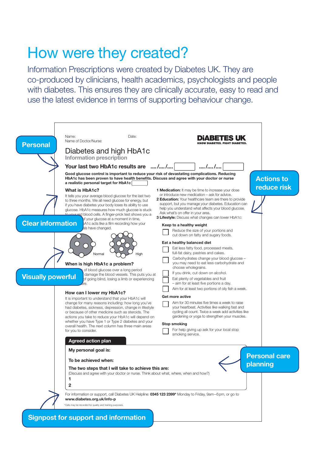## How were they created?

Information Prescriptions were created by Diabetes UK. They are co-produced by clinicians, health academics, psychologists and people with diabetes. This ensures they are clinically accurate, easy to read and use the latest evidence in terms of supporting behaviour change.